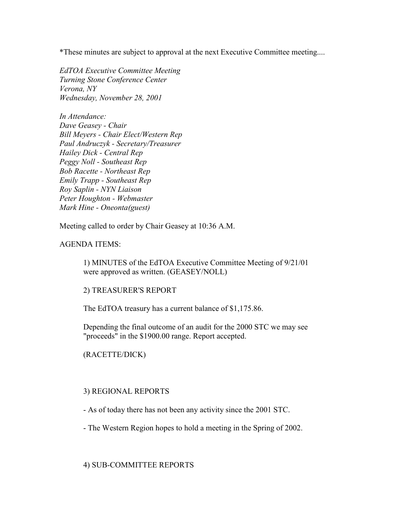\*These minutes are subject to approval at the next Executive Committee meeting....

EdTOA Executive Committee Meeting Turning Stone Conference Center Verona, NY Wednesday, November 28, 2001

In Attendance: Dave Geasey - Chair Bill Meyers - Chair Elect/Western Rep Paul Andruczyk - Secretary/Treasurer Hailey Dick - Central Rep Peggy Noll - Southeast Rep Bob Racette - Northeast Rep Emily Trapp - Southeast Rep Roy Saplin - NYN Liaison Peter Houghton - Webmaster Mark Hine - Oneonta(guest)

Meeting called to order by Chair Geasey at 10:36 A.M.

## AGENDA ITEMS:

1) MINUTES of the EdTOA Executive Committee Meeting of 9/21/01 were approved as written. (GEASEY/NOLL)

### 2) TREASURER'S REPORT

The EdTOA treasury has a current balance of \$1,175.86.

Depending the final outcome of an audit for the 2000 STC we may see "proceeds" in the \$1900.00 range. Report accepted.

# (RACETTE/DICK)

### 3) REGIONAL REPORTS

- As of today there has not been any activity since the 2001 STC.

- The Western Region hopes to hold a meeting in the Spring of 2002.

### 4) SUB-COMMITTEE REPORTS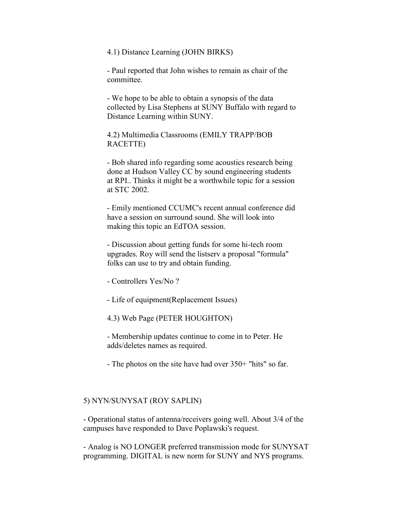#### 4.1) Distance Learning (JOHN BIRKS)

- Paul reported that John wishes to remain as chair of the committee.

- We hope to be able to obtain a synopsis of the data collected by Lisa Stephens at SUNY Buffalo with regard to Distance Learning within SUNY.

4.2) Multimedia Classrooms (EMILY TRAPP/BOB RACETTE)

- Bob shared info regarding some acoustics research being done at Hudson Valley CC by sound engineering students at RPI.. Thinks it might be a worthwhile topic for a session at STC 2002.

- Emily mentioned CCUMC's recent annual conference did have a session on surround sound. She will look into making this topic an EdTOA session.

- Discussion about getting funds for some hi-tech room upgrades. Roy will send the listserv a proposal "formula" folks can use to try and obtain funding.

- Controllers Yes/No ?
- Life of equipment(Replacement Issues)

4.3) Web Page (PETER HOUGHTON)

- Membership updates continue to come in to Peter. He adds/deletes names as required.

- The photos on the site have had over 350+ "hits" so far.

#### 5) NYN/SUNYSAT (ROY SAPLIN)

- Operational status of antenna/receivers going well. About 3/4 of the campuses have responded to Dave Poplawski's request.

- Analog is NO LONGER preferred transmission mode for SUNYSAT programming. DIGITAL is new norm for SUNY and NYS programs.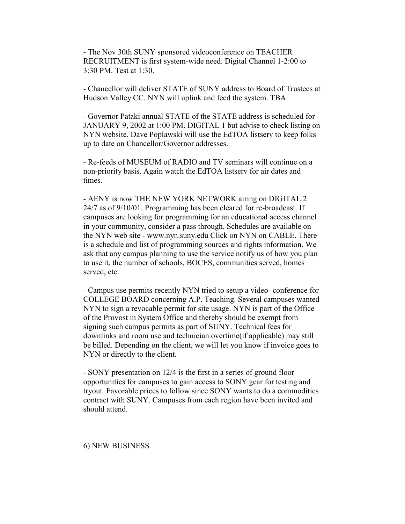- The Nov 30th SUNY sponsored videoconference on TEACHER RECRUITMENT is first system-wide need. Digital Channel 1-2:00 to 3:30 PM. Test at 1:30.

- Chancellor will deliver STATE of SUNY address to Board of Trustees at Hudson Valley CC. NYN will uplink and feed the system. TBA

- Governor Pataki annual STATE of the STATE address is scheduled for JANUARY 9, 2002 at 1:00 PM. DIGITAL 1 but advise to check listing on NYN website. Dave Poplawski will use the EdTOA listserv to keep folks up to date on Chancellor/Governor addresses.

- Re-feeds of MUSEUM of RADIO and TV seminars will continue on a non-priority basis. Again watch the EdTOA listserv for air dates and times.

- AENY is now THE NEW YORK NETWORK airing on DIGITAL 2 24/7 as of 9/10/01. Programming has been cleared for re-broadcast. If campuses are looking for programming for an educational access channel in your community, consider a pass through. Schedules are available on the NYN web site - www.nyn.suny.edu Click on NYN on CABLE. There is a schedule and list of programming sources and rights information. We ask that any campus planning to use the service notify us of how you plan to use it, the number of schools, BOCES, communities served, homes served, etc.

- Campus use permits-recently NYN tried to setup a video- conference for COLLEGE BOARD concerning A.P. Teaching. Several campuses wanted NYN to sign a revocable permit for site usage. NYN is part of the Office of the Provost in System Office and thereby should be exempt from signing such campus permits as part of SUNY. Technical fees for downlinks and room use and technician overtime(if applicable) may still be billed. Depending on the client, we will let you know if invoice goes to NYN or directly to the client.

- SONY presentation on 12/4 is the first in a series of ground floor opportunities for campuses to gain access to SONY gear for testing and tryout. Favorable prices to follow since SONY wants to do a commodities contract with SUNY. Campuses from each region have been invited and should attend.

#### 6) NEW BUSINESS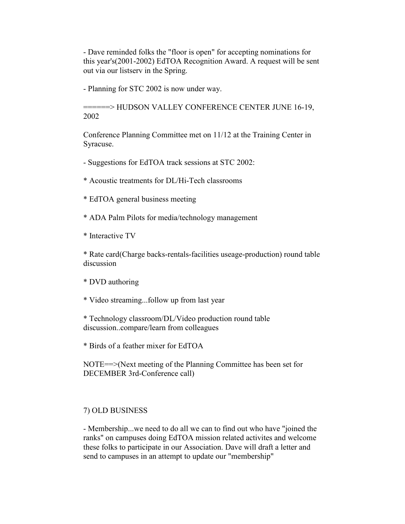- Dave reminded folks the "floor is open" for accepting nominations for this year's(2001-2002) EdTOA Recognition Award. A request will be sent out via our listserv in the Spring.

- Planning for STC 2002 is now under way.

======> HUDSON VALLEY CONFERENCE CENTER JUNE 16-19, 2002

Conference Planning Committee met on 11/12 at the Training Center in Syracuse.

- Suggestions for EdTOA track sessions at STC 2002:

\* Acoustic treatments for DL/Hi-Tech classrooms

\* EdTOA general business meeting

\* ADA Palm Pilots for media/technology management

\* Interactive TV

\* Rate card(Charge backs-rentals-facilities useage-production) round table discussion

\* DVD authoring

\* Video streaming...follow up from last year

\* Technology classroom/DL/Video production round table discussion..compare/learn from colleagues

\* Birds of a feather mixer for EdTOA

NOTE==>(Next meeting of the Planning Committee has been set for DECEMBER 3rd-Conference call)

# 7) OLD BUSINESS

- Membership...we need to do all we can to find out who have "joined the ranks" on campuses doing EdTOA mission related activites and welcome these folks to participate in our Association. Dave will draft a letter and send to campuses in an attempt to update our "membership"